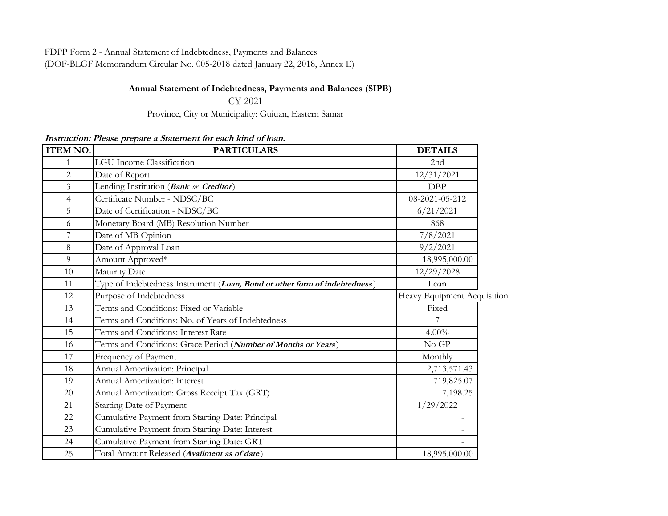FDPP Form 2 - Annual Statement of Indebtedness, Payments and Balances

(DOF-BLGF Memorandum Circular No. 005-2018 dated January 22, 2018, Annex E)

## **Annual Statement of Indebtedness, Payments and Balances (SIPB)**

CY 2021

Province, City or Municipality: Guiuan, Eastern Samar

**Instruction: Please prepare a Statement for each kind of loan.**

| <b>ITEM NO.</b> | <b>PARTICULARS</b>                                                         | <b>DETAILS</b>              |  |
|-----------------|----------------------------------------------------------------------------|-----------------------------|--|
| $\mathbf{1}$    | <b>LGU</b> Income Classification                                           | 2nd                         |  |
| $\overline{c}$  | Date of Report                                                             | 12/31/2021                  |  |
| $\mathfrak{Z}$  | Lending Institution (Bank or Creditor)                                     | <b>DBP</b>                  |  |
| $\overline{4}$  | Certificate Number - NDSC/BC                                               | 08-2021-05-212              |  |
| 5               | Date of Certification - NDSC/BC                                            | 6/21/2021                   |  |
| 6               | Monetary Board (MB) Resolution Number                                      | 868                         |  |
| $\overline{7}$  | Date of MB Opinion                                                         | 7/8/2021                    |  |
| 8               | Date of Approval Loan                                                      | 9/2/2021                    |  |
| 9               | Amount Approved*                                                           | 18,995,000.00               |  |
| 10              | Maturity Date                                                              | 12/29/2028                  |  |
| 11              | Type of Indebtedness Instrument (Loan, Bond or other form of indebtedness) | Loan                        |  |
| 12              | Purpose of Indebtedness                                                    | Heavy Equipment Acquisition |  |
| 13              | Terms and Conditions: Fixed or Variable                                    | Fixed                       |  |
| 14              | Terms and Conditions: No. of Years of Indebtedness                         |                             |  |
| 15              | Terms and Conditions: Interest Rate                                        | $4.00\%$                    |  |
| 16              | Terms and Conditions: Grace Period (Number of Months or Years)             | No GP                       |  |
| 17              | Frequency of Payment                                                       | Monthly                     |  |
| 18              | Annual Amortization: Principal                                             | 2,713,571.43                |  |
| 19              | Annual Amortization: Interest                                              | 719,825.07                  |  |
| 20              | Annual Amortization: Gross Receipt Tax (GRT)                               | 7,198.25                    |  |
| 21              | Starting Date of Payment                                                   | 1/29/2022                   |  |
| 22              | Cumulative Payment from Starting Date: Principal                           |                             |  |
| 23              | Cumulative Payment from Starting Date: Interest                            | $\overline{\phantom{0}}$    |  |
| 24              | Cumulative Payment from Starting Date: GRT                                 |                             |  |
| 25              | Total Amount Released (Availment as of date)                               | 18,995,000.00               |  |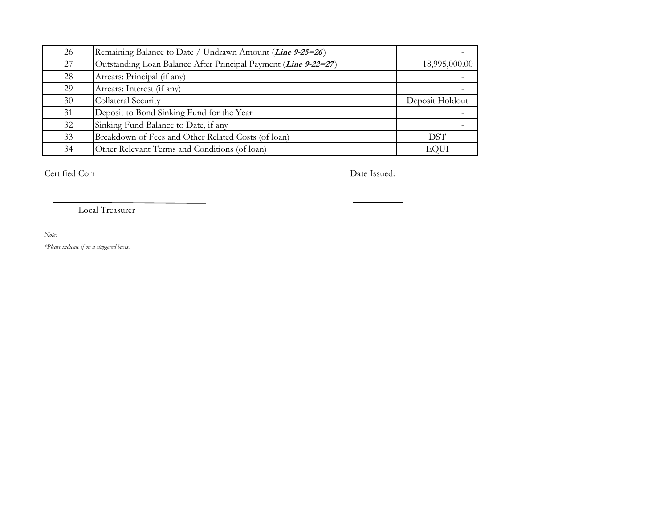| 26 | Remaining Balance to Date / Undrawn Amount ( <i>Line 9-25=26</i> ) |                 |
|----|--------------------------------------------------------------------|-----------------|
| 27 | Outstanding Loan Balance After Principal Payment (Line 9-22=27)    | 18,995,000.00   |
| 28 | Arrears: Principal (if any)                                        |                 |
| 29 | Arrears: Interest (if any)                                         |                 |
| 30 | Collateral Security                                                | Deposit Holdout |
| 31 | Deposit to Bond Sinking Fund for the Year                          |                 |
| 32 | Sinking Fund Balance to Date, if any                               |                 |
| 33 | Breakdown of Fees and Other Related Costs (of loan)                | DST             |
| 34 | Other Relevant Terms and Conditions (of loan)                      | EQUI            |

Certified Correct by: Date Issued:

Local Treasurer

*Note:*

*\*Please indicate if on a staggered basis.*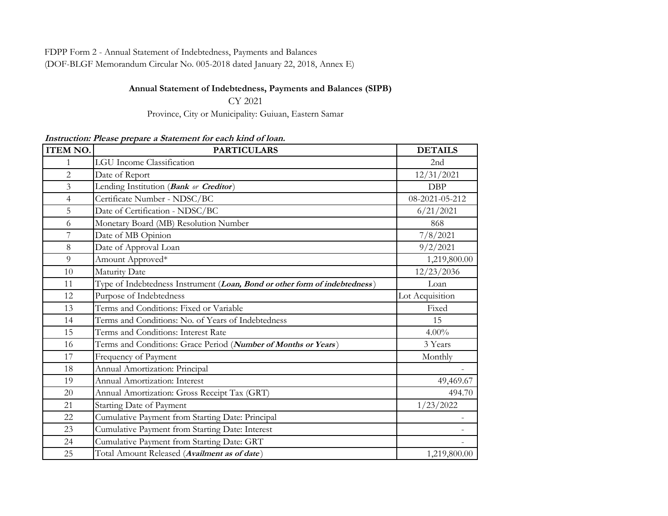FDPP Form 2 - Annual Statement of Indebtedness, Payments and Balances

(DOF-BLGF Memorandum Circular No. 005-2018 dated January 22, 2018, Annex E)

## **Annual Statement of Indebtedness, Payments and Balances (SIPB)**

CY 2021

Province, City or Municipality: Guiuan, Eastern Samar

**Instruction: Please prepare a Statement for each kind of loan.**

| <b>ITEM NO.</b> | <b>PARTICULARS</b>                                                         | <b>DETAILS</b>  |
|-----------------|----------------------------------------------------------------------------|-----------------|
| 1               | <b>LGU</b> Income Classification                                           | 2nd             |
| 2               | Date of Report                                                             | 12/31/2021      |
| 3               | Lending Institution (Bank or Creditor)                                     | <b>DBP</b>      |
| $\overline{4}$  | Certificate Number - NDSC/BC                                               | 08-2021-05-212  |
| 5               | Date of Certification - NDSC/BC                                            | 6/21/2021       |
| 6               | Monetary Board (MB) Resolution Number                                      | 868             |
| 7               | Date of MB Opinion                                                         | 7/8/2021        |
| 8               | Date of Approval Loan                                                      | 9/2/2021        |
| 9               | Amount Approved*                                                           | 1,219,800.00    |
| 10              | Maturity Date                                                              | 12/23/2036      |
| 11              | Type of Indebtedness Instrument (Loan, Bond or other form of indebtedness) | Loan            |
| 12              | Purpose of Indebtedness                                                    | Lot Acquisition |
| 13              | Terms and Conditions: Fixed or Variable                                    | Fixed           |
| 14              | Terms and Conditions: No. of Years of Indebtedness                         | 15              |
| 15              | Terms and Conditions: Interest Rate                                        | $4.00\%$        |
| 16              | Terms and Conditions: Grace Period (Number of Months or Years)             | 3 Years         |
| 17              | Frequency of Payment                                                       | Monthly         |
| 18              | Annual Amortization: Principal                                             |                 |
| 19              | Annual Amortization: Interest                                              | 49,469.67       |
| 20              | Annual Amortization: Gross Receipt Tax (GRT)                               | 494.70          |
| 21              | Starting Date of Payment                                                   | 1/23/2022       |
| 22              | Cumulative Payment from Starting Date: Principal                           |                 |
| 23              | Cumulative Payment from Starting Date: Interest                            |                 |
| 24              | Cumulative Payment from Starting Date: GRT                                 |                 |
| 25              | Total Amount Released (Availment as of date)                               | 1,219,800.00    |